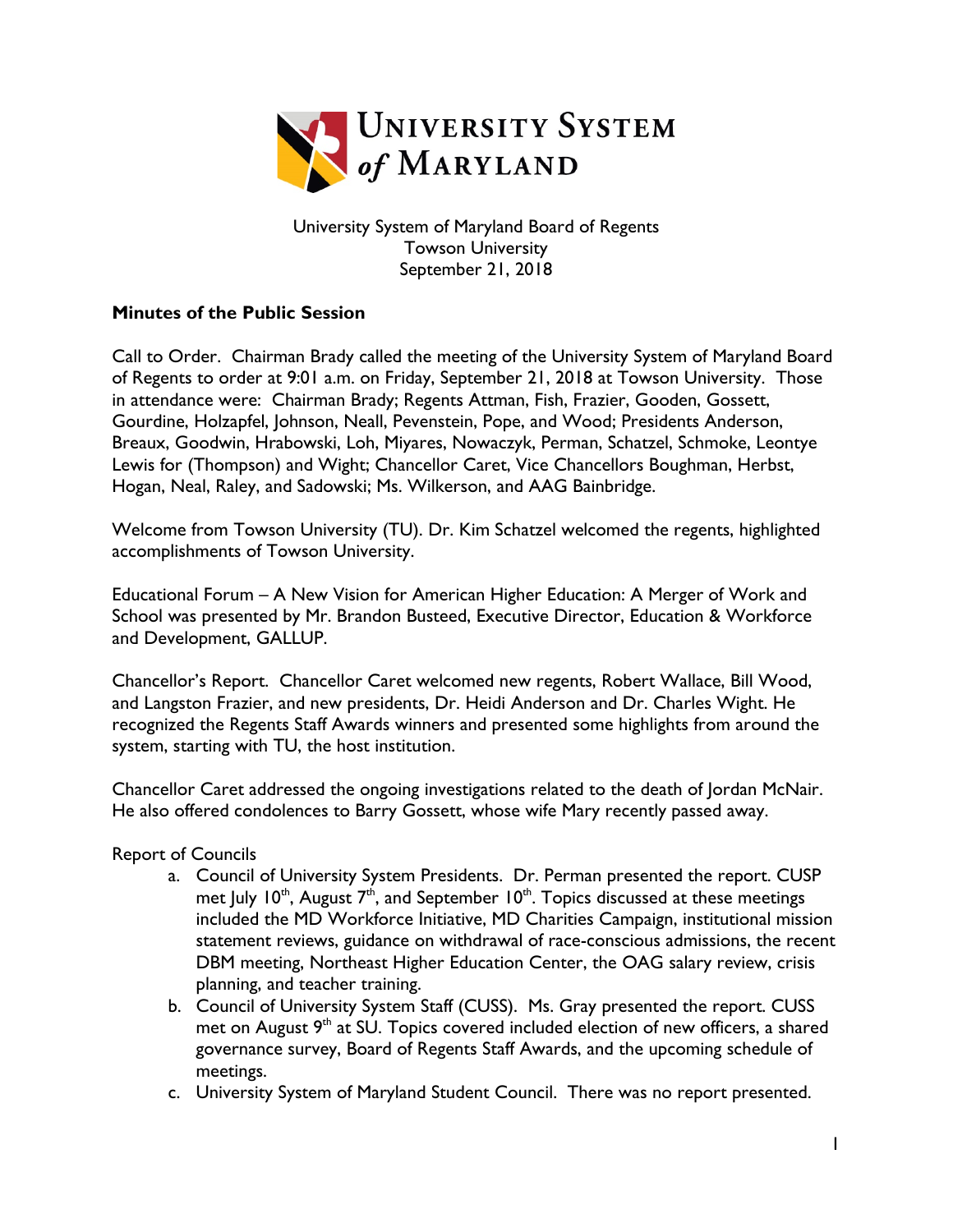

University System of Maryland Board of Regents Towson University September 21, 2018

## **Minutes of the Public Session**

Call to Order. Chairman Brady called the meeting of the University System of Maryland Board of Regents to order at 9:01 a.m. on Friday, September 21, 2018 at Towson University. Those in attendance were: Chairman Brady; Regents Attman, Fish, Frazier, Gooden, Gossett, Gourdine, Holzapfel, Johnson, Neall, Pevenstein, Pope, and Wood; Presidents Anderson, Breaux, Goodwin, Hrabowski, Loh, Miyares, Nowaczyk, Perman, Schatzel, Schmoke, Leontye Lewis for (Thompson) and Wight; Chancellor Caret, Vice Chancellors Boughman, Herbst, Hogan, Neal, Raley, and Sadowski; Ms. Wilkerson, and AAG Bainbridge.

Welcome from Towson University (TU). Dr. Kim Schatzel welcomed the regents, highlighted accomplishments of Towson University.

Educational Forum – A New Vision for American Higher Education: A Merger of Work and School was presented by Mr. Brandon Busteed, Executive Director, Education & Workforce and Development, GALLUP.

Chancellor's Report. Chancellor Caret welcomed new regents, Robert Wallace, Bill Wood, and Langston Frazier, and new presidents, Dr. Heidi Anderson and Dr. Charles Wight. He recognized the Regents Staff Awards winners and presented some highlights from around the system, starting with TU, the host institution.

Chancellor Caret addressed the ongoing investigations related to the death of Jordan McNair. He also offered condolences to Barry Gossett, whose wife Mary recently passed away.

Report of Councils

- a. Council of University System Presidents. Dr. Perman presented the report. CUSP met July 10<sup>th</sup>, August  $7<sup>th</sup>$ , and September 10<sup>th</sup>. Topics discussed at these meetings included the MD Workforce Initiative, MD Charities Campaign, institutional mission statement reviews, guidance on withdrawal of race-conscious admissions, the recent DBM meeting, Northeast Higher Education Center, the OAG salary review, crisis planning, and teacher training.
- b. Council of University System Staff (CUSS). Ms. Gray presented the report. CUSS met on August 9<sup>th</sup> at SU. Topics covered included election of new officers, a shared governance survey, Board of Regents Staff Awards, and the upcoming schedule of meetings.
- c. University System of Maryland Student Council. There was no report presented.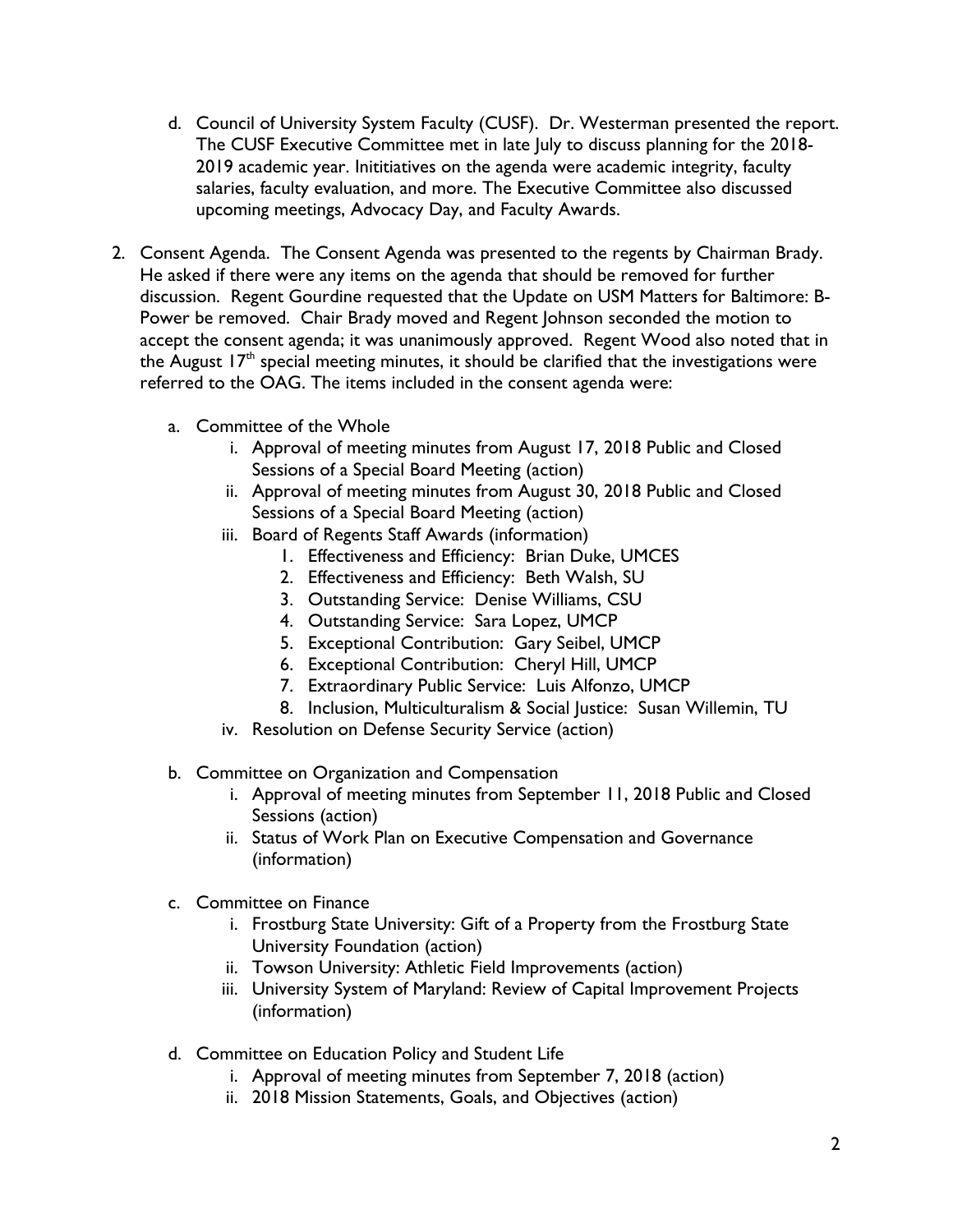- d. Council of University System Faculty (CUSF). Dr. Westerman presented the report. The CUSF Executive Committee met in late July to discuss planning for the 2018- 2019 academic year. Inititiatives on the agenda were academic integrity, faculty salaries, faculty evaluation, and more. The Executive Committee also discussed upcoming meetings, Advocacy Day, and Faculty Awards.
- 2. Consent Agenda. The Consent Agenda was presented to the regents by Chairman Brady. He asked if there were any items on the agenda that should be removed for further discussion. Regent Gourdine requested that the Update on USM Matters for Baltimore: B-Power be removed. Chair Brady moved and Regent Johnson seconded the motion to accept the consent agenda; it was unanimously approved. Regent Wood also noted that in the August  $17<sup>th</sup>$  special meeting minutes, it should be clarified that the investigations were referred to the OAG. The items included in the consent agenda were:
	- a. Committee of the Whole
		- i. Approval of meeting minutes from August 17, 2018 Public and Closed Sessions of a Special Board Meeting (action)
		- ii. Approval of meeting minutes from August 30, 2018 Public and Closed Sessions of a Special Board Meeting (action)
		- iii. Board of Regents Staff Awards (information)
			- 1. Effectiveness and Efficiency: Brian Duke, UMCES
			- 2. Effectiveness and Efficiency: Beth Walsh, SU
			- 3. Outstanding Service: Denise Williams, CSU
			- 4. Outstanding Service: Sara Lopez, UMCP
			- 5. Exceptional Contribution: Gary Seibel, UMCP
			- 6. Exceptional Contribution: Cheryl Hill, UMCP
			- 7. Extraordinary Public Service: Luis Alfonzo, UMCP
			- 8. Inclusion, Multiculturalism & Social Justice: Susan Willemin, TU
		- iv. Resolution on Defense Security Service (action)
	- b. Committee on Organization and Compensation
		- i. Approval of meeting minutes from September 11, 2018 Public and Closed Sessions (action)
		- ii. Status of Work Plan on Executive Compensation and Governance (information)
	- c. Committee on Finance
		- i. Frostburg State University: Gift of a Property from the Frostburg State University Foundation (action)
		- ii. Towson University: Athletic Field Improvements (action)
		- iii. University System of Maryland: Review of Capital Improvement Projects (information)
	- d. Committee on Education Policy and Student Life
		- i. Approval of meeting minutes from September 7, 2018 (action)
		- ii. 2018 Mission Statements, Goals, and Objectives (action)